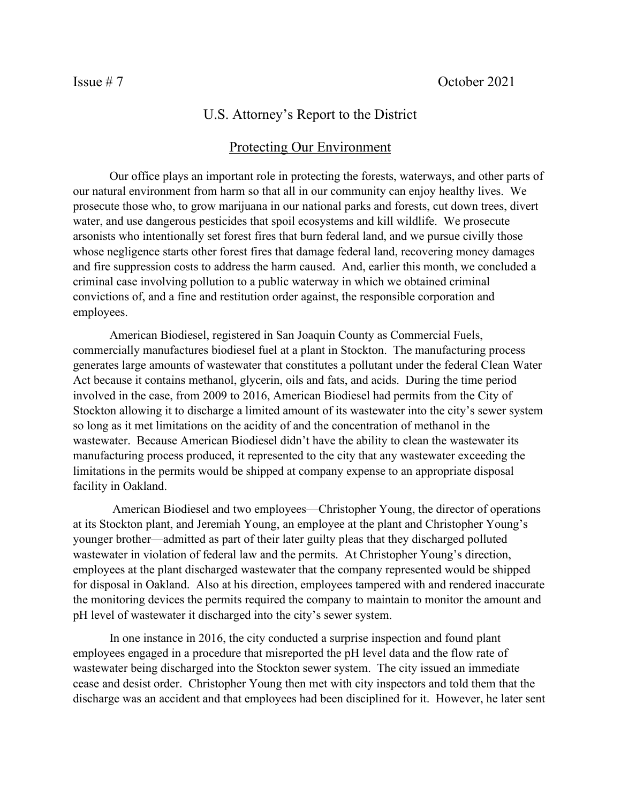## U.S. Attorney's Report to the District

## Protecting Our Environment

Our office plays an important role in protecting the forests, waterways, and other parts of our natural environment from harm so that all in our community can enjoy healthy lives. We prosecute those who, to grow marijuana in our national parks and forests, cut down trees, divert water, and use dangerous pesticides that spoil ecosystems and kill wildlife. We prosecute arsonists who intentionally set forest fires that burn federal land, and we pursue civilly those whose negligence starts other forest fires that damage federal land, recovering money damages and fire suppression costs to address the harm caused. And, earlier this month, we concluded a criminal case involving pollution to a public waterway in which we obtained criminal convictions of, and a fine and restitution order against, the responsible corporation and employees.

American Biodiesel, registered in San Joaquin County as Commercial Fuels, commercially manufactures biodiesel fuel at a plant in Stockton. The manufacturing process generates large amounts of wastewater that constitutes a pollutant under the federal Clean Water Act because it contains methanol, glycerin, oils and fats, and acids. During the time period involved in the case, from 2009 to 2016, American Biodiesel had permits from the City of Stockton allowing it to discharge a limited amount of its wastewater into the city's sewer system so long as it met limitations on the acidity of and the concentration of methanol in the wastewater. Because American Biodiesel didn't have the ability to clean the wastewater its manufacturing process produced, it represented to the city that any wastewater exceeding the limitations in the permits would be shipped at company expense to an appropriate disposal facility in Oakland.

American Biodiesel and two employees—Christopher Young, the director of operations at its Stockton plant, and Jeremiah Young, an employee at the plant and Christopher Young's younger brother—admitted as part of their later guilty pleas that they discharged polluted wastewater in violation of federal law and the permits. At Christopher Young's direction, employees at the plant discharged wastewater that the company represented would be shipped for disposal in Oakland. Also at his direction, employees tampered with and rendered inaccurate the monitoring devices the permits required the company to maintain to monitor the amount and pH level of wastewater it discharged into the city's sewer system.

In one instance in 2016, the city conducted a surprise inspection and found plant employees engaged in a procedure that misreported the pH level data and the flow rate of wastewater being discharged into the Stockton sewer system. The city issued an immediate cease and desist order. Christopher Young then met with city inspectors and told them that the discharge was an accident and that employees had been disciplined for it. However, he later sent